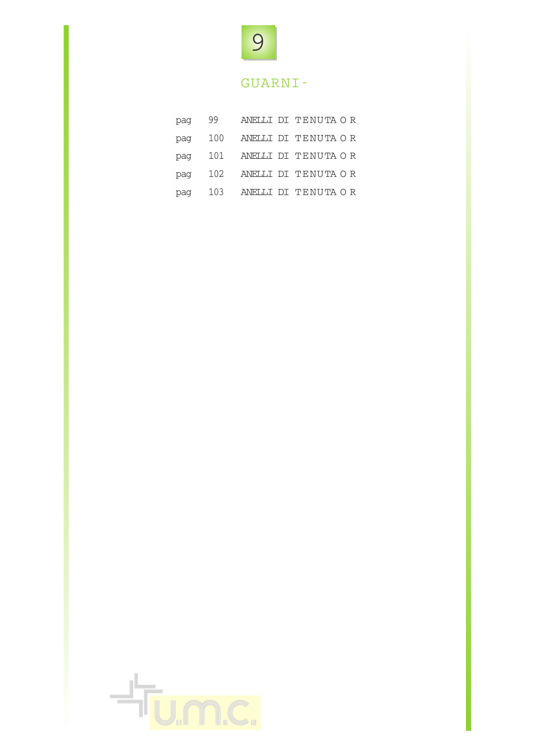

## GUARNI-

| pag | 99  |  | ANELLI DI TENUTA OR     |  |
|-----|-----|--|-------------------------|--|
| pag | 100 |  | ANELLI DI TENUTA OR     |  |
| pag |     |  | 101 ANELLI DI TENUTA OR |  |
| pag |     |  | 102 ANELLI DI TENUTA OR |  |
| pag |     |  | 103 ANELLI DI TENUTA OR |  |

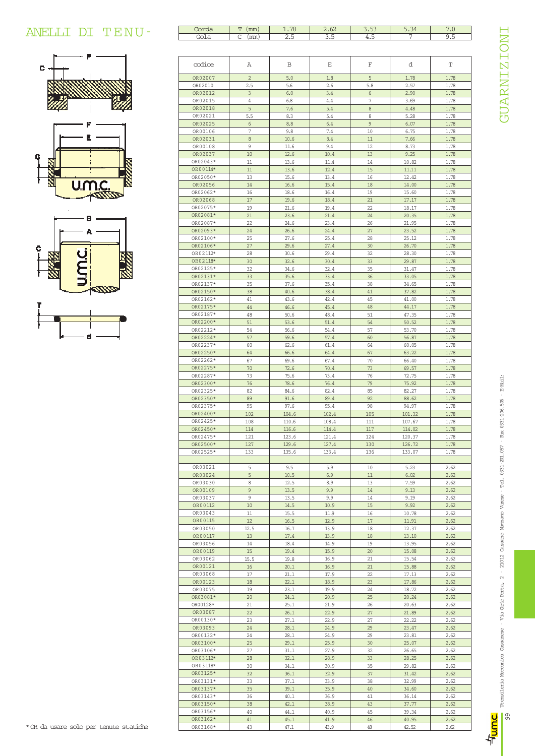## ANELLI DI TENU-





| Gola                 | $C_{\text{mm}}$ ) | 2.5            | 3.5            | 4.5          | 7                | 9.5          |
|----------------------|-------------------|----------------|----------------|--------------|------------------|--------------|
|                      |                   |                |                |              |                  |              |
| codice               | Α                 | B              | Ε              | F            | d                | Т            |
| OR02007              | $\overline{2}$    | 5.0            | 1.8            | 5            | 1.78             | 1.78         |
| OR02010              | 2.5               | 5.6            | 2.6            | 5.8          | 2.57             | 1.78         |
| OR02012              | 3                 | 6.0            | 3.4            | 6            | 2.90             | 1.78         |
| OR02015              | 4                 | 6.8            | 4.4            | 7            | 3.69             | 1.78         |
| OR02018<br>OR02021   | 5<br>5.5          | 7.6<br>8.3     | 5.4<br>5.4     | $\,8\,$<br>8 | 4.48<br>5.28     | 1.78<br>1.78 |
| OR02025              | 6                 | 8.8            | 6.4            | 9            | 6.07             | 1.78         |
| OR00106              | $\overline{7}$    | 9.8            | 7.4            | 10           | 6.75             | 1.78         |
| OR02031              | 8                 | 10.6           | 8.4            | 11           | 7.66             | 1.78         |
| OR00108              | 9                 | 11.6           | 9.4            | 12           | 8.73             | 1.78         |
| OR02037<br>OR02043*  | 10<br>11          | 12.6<br>13.6   | 10.4<br>11.4   | 13<br>14     | 9.25             | 1.78         |
| OR00114*             | 11                | 13.6           | 12.4           | 15           | 10.82<br>11.11   | 1.78<br>1.78 |
| OR02050*             | 13                | 15.6           | 13.4           | 16           | 12.42            | 1.78         |
| OR02056              | 14                | 16.6           | 15.4           | 18           | 14.00            | 1.78         |
| OR02062*             | 16                | 18.6           | 16.4           | 19           | 15.60            | 1.78         |
| OR02068              | 17                | 19.6           | 18.4           | 21           | 17.17            | 1.78         |
| OR02075*<br>OR02081* | 19<br>21          | 21.6<br>23.6   | 19.4<br>21.4   | 22<br>24     | 18.17<br>20.35   | 1.78<br>1.78 |
| OR02087*             | 22                | 24.6           | 23.4           | 26           | 21.95            | 1.78         |
| OR02093*             | 24                | 26.6           | 24.4           | 27           | 23.52            | 1.78         |
| OR02100*             | 25                | 27.6           | 25.4           | 28           | 25.12            | 1.78         |
| OR02106*             | 27                | 29.6           | 27.4           | 30           | 26.70            | 1.78         |
| OR02112*             | 28                | 30.6           | 29.4           | 32           | 28.30            | 1.78         |
| OR02118*<br>OR02125* | 30<br>32          | 32.6<br>34.6   | 30.4<br>32.4   | 33<br>35     | 29.87<br>31.47   | 1.78<br>1.78 |
| OR02131*             | 33                | 35.6           | 33.4           | 36           | 33.05            | 1.78         |
| OR02137*             | 35                | 37.6           | 35.4           | 38           | 34.65            | 1.78         |
| OR02150*             | 38                | 40.6           | 38.4           | 41           | 37.82            | 1.78         |
| OR02162*             | 41                | 43.6           | 42.4           | 45           | 41.00            | 1.78         |
| OR02175*             | 44                | 46.6           | 45.4           | 48           | 44.17            | 1.78         |
| OR02187*<br>OR02200* | 48<br>51          | 50.6<br>53.6   | 48.4<br>51.4   | 51<br>54     | 47.35<br>50.52   | 1.78<br>1.78 |
| OR02212*             | 54                | 56.6           | 54.4           | 57           | 53.70            | 1.78         |
| OR02224*             | 57                | 59.6           | 57.4           | 60           | 56.87            | 1.78         |
| OR02237*             | 60                | 62.6           | 61.4           | 64           | 60.05            | 1.78         |
| OR02250*             | 64                | 66.6           | 64.4           | 67           | 63.22            | 1.78         |
| OR02262*             | 67                | 69.6           | 67.4           | 70           | 66.40            | 1.78         |
| OR02275*<br>OR02287* | 70<br>73          | 72.6<br>75.6   | 70.4<br>73.4   | 73<br>76     | 69.57<br>72.75   | 1.78<br>1.78 |
| OR02300*             | 76                | 78.6           | 76.4           | 79           | 75.92            | 1.78         |
| OR02325*             | 82                | 84.6           | 82.4           | 85           | 82.27            | 1.78         |
| OR02350*             | 89                | 91.6           | 89.4           | 92           | 88.62            | 1.78         |
| OR02375*             | 95                | 97.6           | 95.4           | 98           | 94.97            | 1.78         |
| OR02400*<br>OR02425* | 102               | 104.6          | 102.4          | 105          | 101.32           | 1.78         |
| OR02450*             | 108<br>114        | 110.6<br>116.6 | 108.4<br>114.4 | 111<br>117   | 107.67<br>114.02 | 1.78<br>1.78 |
| OR02475*             | 121               | 123.6          | 121.4          | 124          | 120.37           | 1.78         |
| OR02500*             | 127               | 129.6          | 127.4          | 130          | 126.72           | 1.78         |
| OR02525*             | 133               | 135.6          | 133.4          | 136          | 133.07           | 1.78         |
| OR03021              | 5                 | 9.5            | 5.9            | 10           | 5.23             | 2.62         |
| OR03024              | 5                 | 10.5           | 6.9            | 11           | 6.02             | 2.62         |
| OR03030              | 8                 | 12.5           | 8.9            | 13           | 7.59             | 2.62         |
| OR00109<br>OR03037   | 9<br>9            | 13.5<br>13.5   | 9.9<br>9.9     | 14<br>14     | 9.13<br>9.19     | 2.62<br>2.62 |
| OR00112              | 10                | 14.5           | 10.9           | 15           | 9.92             | 2.62         |
| OR03043              | 11                | 15.5           | 11.9           | 16           | 10.78            | 2.62         |
| OR00115              | 12                | 16.5           | 12.9           | 17           | 11.91            | 2.62         |
| OR03050              | 12.5              | 16.7           | 13.9           | 18           | 12.37            | 2.62         |
| OR00117<br>OR03056   | 13                | 17.4           | 13.9           | 18<br>19     | 13.10            | 2.62         |
| OR00119              | 14<br>15          | 18.4<br>19.4   | 14.9<br>15.9   | 20           | 13.95<br>15.08   | 2.62<br>2.62 |
| OR03062              | 15.5              | 19.8           | 16.9           | 21           | 15.54            | 2.62         |
| OR00121              | 16                | 20.1           | 16.9           | 21           | 15.88            | 2.62         |
| OR03068              | 17                | 21.1           | 17.9           | 22           | 17.13            | 2.62         |
| OR00123              | 18                | 22.1           | 18.9           | 23           | 17.86            | 2.62         |
| OR03075<br>OR03081*  | 19                | 23.1           | 19.9           | 24           | 18.72            | 2.62         |
| OR00128*             | 20<br>21          | 24.1<br>25.1   | 20.9<br>21.9   | 25<br>26     | 20.24<br>20.63   | 2.62<br>2.62 |
| OR03087              | 22                | 26.1           | 22.9           | 27           | 21.89            | 2.62         |
| OR00130*             | 23                | 27.1           | 22.9           | 27           | 22.22            | 2.62         |
| OR03093              | 24                | 28.1           | 24.9           | 29           | 23.47            | 2.62         |
| OR00132*             | 24                | 28.1           | 24.9           | 29           | 23.81            | 2.62         |
| OR03100*             | 25                | 29.1           | 25.9           | 30           | 25.07            | 2.62         |
| OR03106*<br>OR03112* | 27<br>28          | 31.1<br>32.1   | 27.9<br>28.9   | 32<br>33     | 26.65<br>28.25   | 2.62<br>2.62 |
| OR03118*             | 30                | 34.1           | 30.9           | 35           | 29.82            | 2.62         |
| OR03125*             | 32                | 36.1           | 32.9           | 37           | 31.42            | 2.62         |
| OR03131*             | 33                | 37.1           | 33.9           | 38           | 32.99            | 2.62         |
| OR03137*             | 35                | 39.1           | 35.9           | 40           | 34.60            | 2.62         |
| OR03143*             | 36                | 40.1           | 36.9           | 41           | 36.14            | 2.62         |
| OR03150*             | 38                | 42.1           | 38.9           | 43<br>45     | 37.77            | 2.62         |
| OR03156*<br>OR03162* | 40<br>41          | 44.1<br>45.1   | 40.9<br>41.9   | 46           | 39.34<br>40.95   | 2.62<br>2.62 |
| OR03168*             | 43                | 47.1           | 43.9           | 48           | 42.52            | 2.62         |
|                      |                   |                |                |              |                  |              |

Corda T (mm) 1.78 2.62 3.53 5.34 7.0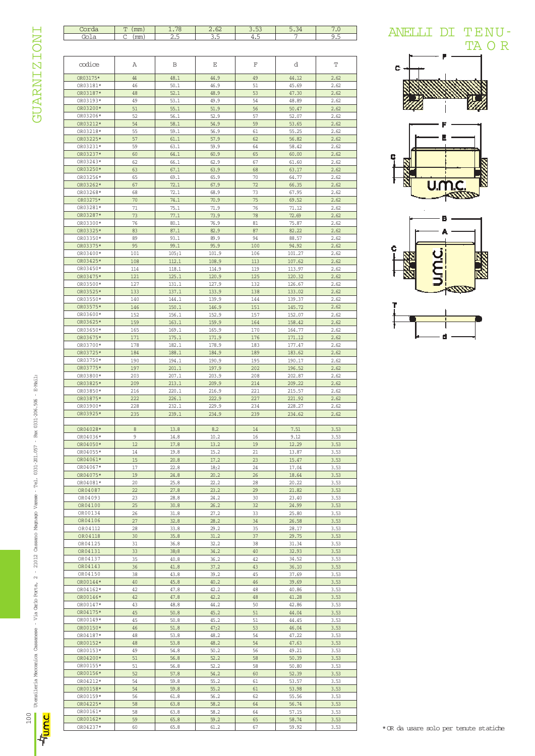**GUARNIZIONI** GUARNIZIONI

| Corda<br>Gola | $T \text{ (mm)}$ |       |       |      |        |      |
|---------------|------------------|-------|-------|------|--------|------|
|               |                  | 1.78  | 2.62  | 3.53 | 5.34   | 7.0  |
|               | $C$ (mm)         | 2.5   | 3.5   | 4.5  | 7      | 9.5  |
|               |                  |       |       |      |        |      |
|               |                  |       |       |      |        |      |
|               |                  |       |       |      |        |      |
| mdice         | Α                | В     | Ε     | F    | d      | Т    |
|               |                  |       |       |      |        |      |
| OR03175*      | 44               | 48.1  | 44.9  | 49   | 44.12  | 2.62 |
| OR03181*      | 46               | 50.1  | 46.9  | 51   | 45.69  | 2.62 |
| OR03187*      | 48               | 52.1  | 48.9  | 53   | 47.30  | 2.62 |
|               | 49               |       |       | 54   |        |      |
| OR03193*      |                  | 53.1  | 49.9  |      | 48.89  | 2.62 |
| OR03200*      | 51               | 55.1  | 51.9  | 56   | 50.47  | 2.62 |
| OR03206*      | 52               | 56.1  | 52.9  | 57   | 52.07  | 2.62 |
| OR03212*      | 54               | 58.1  | 54.9  | 59   | 53.65  | 2.62 |
| OR03218*      | 55               | 59.1  | 56.9  | 61   | 55.25  | 2.62 |
| OR03225*      | 57               | 61.1  | 57.9  | 62   | 56.82  | 2.62 |
| OR03231*      | 59               | 63.1  | 59.9  | 64   | 58.42  | 2.62 |
| OR03237*      | 60               | 64.1  | 60.9  | 65   | 60.00  | 2.62 |
| OR03243*      | 62               | 66.1  | 62.9  | 67   | 61.60  | 2.62 |
| OR03250*      | 63               | 67.1  | 63.9  | 68   | 63.17  | 2.62 |
| OR03256*      | 65               | 69.1  | 65.9  | 70   | 64.77  | 2.62 |
| OR03262*      | 67               | 72.1  | 67.9  | 72   | 66.35  | 2.62 |
|               |                  |       |       |      |        |      |
| OR03268*      | 68               | 72.1  | 68.9  | 73   | 67.95  | 2.62 |
| OR03275*      | 70               | 74.1  | 70.9  | 75   | 69.52  | 2.62 |
| OR03281*      | 71               | 75.1  | 71.9  | 76   | 71.12  | 2.62 |
| OR03287*      | 73               | 77.1  | 73.9  | 78   | 72.69  | 2.62 |
| OR03300*      | 76               | 80.1  | 76.9  | 81   | 75.87  | 2.62 |
| OR03325*      | 83               | 87.1  | 82.9  | 87   | 82.22  | 2.62 |
| OR03350*      | 89               | 93.1  | 89.9  | 94   | 88.57  | 2.62 |
| OR03375*      | 95               | 99.1  | 95.9  | 100  | 94.92  | 2.62 |
| OR03400*      | 101              | 105;1 | 101.9 | 106  | 101.27 | 2.62 |
| OR03425*      | 108              | 112.1 | 108.9 | 113  | 107.62 | 2.62 |
| OR03450*      |                  |       |       |      |        |      |
|               | 114              | 118.1 | 114.9 | 119  | 113.97 | 2.62 |
| OR03475*      | 121              | 125.1 | 120.9 | 125  | 120.32 | 2.62 |
| OR03500*      | 127              | 131.1 | 127.9 | 132  | 126.67 | 2.62 |
| OR03525*      | 133              | 137.1 | 133.9 | 138  | 133.02 | 2.62 |
| OR03550*      | 140              | 144.1 | 139.9 | 144  | 139.37 | 2.62 |
| OR03575*      | 146              | 150.1 | 146.9 | 151  | 145.72 | 2.62 |
| OR03600*      | 152              | 156.1 | 152.9 | 157  | 152.07 | 2.62 |
| OR03625*      | 159              | 163.1 | 159.9 | 164  | 158.42 | 2.62 |
| OR03650*      | 165              | 169.1 | 165.9 | 170  | 164.77 | 2.62 |
| OR03675*      | 171              | 175.1 | 171.9 | 176  | 171.12 | 2.62 |
| OR03700*      | 178              | 182.1 | 178.9 | 183  | 177.47 | 2.62 |
| OR03725*      | 184              | 188.1 | 184.9 | 189  | 183.62 | 2.62 |
|               |                  |       |       |      |        |      |
| OR03750*      | 190              | 194.1 | 190.9 | 195  | 190.17 | 2.62 |
| OR03775*      | 197              | 201.1 | 197.9 | 202  | 196.52 | 2.62 |
| OR03800*      | 203              | 207.1 | 203.9 | 208  | 202.87 | 2.62 |
| OR03825*      | 209              | 213.1 | 209.9 | 214  | 209.22 | 2.62 |
| OR03850*      | 216              | 220.1 | 216.9 | 221  | 215.57 | 2.62 |
| OR03875*      | 222              | 226.1 | 222.9 | 227  | 221.92 | 2.62 |
| OR03900*      | 228              | 232.1 | 229.9 | 234  | 228.27 | 2.62 |
| OR03925*      | 235              | 239.1 | 234.9 | 239  | 234.62 | 2.62 |
|               |                  |       |       |      |        |      |
| OR04028*      | 8                | 13.8  | 8.2   | 14   | 7.51   | 3.53 |
| OR04036*      | 9                | 14.8  | 10.2  | 16   | 9.12   | 3.53 |
| OR04050*      | 12               | 17.8  | 13.2  | 19   | 12.29  | 3.53 |
| OR04055*      | 14               |       | 15.2  | 21   |        |      |
|               |                  |       |       |      |        |      |
|               |                  | 19.8  |       |      | 13.87  | 3.53 |
| OR04061*      | 15               | 20.8  | 17.2  | 23   | 15.47  | 3.53 |
| OR04067*      | 17               | 22.8  | 18;2  | 24   | 17.04  | 3.53 |
| OR04075*      | 19               | 24.8  | 20.2  | 26   | 18.64  | 3.53 |
| OR04081*      | 20               | 25.8  | 22.2  | 28   | 20.22  | 3.53 |
| OR04087       | 22               | 27.8  | 23.2  | 29   | 21.82  | 3.53 |
| OR04093       | 23               | 28.8  | 24.2  | 30   | 23.40  | 3.53 |
| OR04100       | 25               | 30.8  | 26.2  | 32   | 24.99  | 3.53 |
| OR00134       | 26               | 31.8  | 27.2  | 33   | 25.80  | 3.53 |
| OR04106       | 27               | 32.8  | 28.2  | 34   | 26.58  | 3.53 |
| OR04112       | 28               | 33.8  | 29.2  | 35   | 28.17  |      |
|               |                  |       |       |      |        | 3.53 |
| OR04118       | 30               | 35.8  | 31.2  | 37   | 29.75  | 3.53 |
| OR04125       | 31               | 36.8  | 32.2  | 38   | 31.34  | 3.53 |
| OR04131       | 33               | 38;8  | 34.2  | 40   | 32.93  | 3.53 |
| OR04137       | 35               | 40.8  | 36.2  | 42   | 34.52  | 3.53 |
| OR04143       | 36               | 41.8  | 37.2  | 43   | 36.10  | 3.53 |
| OR04150       | 38               | 43.8  | 39.2  | 45   | 37.69  | 3.53 |
| OR00144*      | 40               | 45.8  | 40.2  | 46   | 39.69  | 3.53 |
| OR04162*      | 42               | 47.8  | 42.2  | 48   | 40.86  | 3.53 |
| OR00146*      | 42               | 47.8  | 42.2  | 48   | 41.28  | 3.53 |
| OR00147*      | 43               | 48.8  | 44.2  | 50   | 42.86  | 3.53 |
| OR04175*      | 45               | 50.8  | 45.2  | 51   | 44.04  | 3.53 |
| OR00149*      | 45               | 50.8  | 45.2  | 51   | 44.45  | 3.53 |
|               |                  |       |       |      |        |      |
| OR00150*      | 46               | 51.8  | 47;2  | 53   | 46.04  | 3.53 |
| OR04187*      | 48               | 53.8  | 48.2  | 54   | 47.22  | 3.53 |
| OR00152*      | 48               | 53.8  | 48.2  | 54   | 47.63  | 3.53 |
| OR00153*      | 49               | 54.8  | 50.2  | 56   | 49.21  | 3.53 |
| OR04200*      | 51               | 56.8  | 52.2  | 58   | 50.39  | 3.53 |
| OR00155*      | 51               | 56.8  | 52.2  | 58   | 50.80  | 3.53 |
| OR00156*      | 52               | 57.8  | 54.2  | 60   | 52.39  | 3.53 |
| OR04212*      | 54               | 59.8  | 55.2  | 61   | 53.57  | 3.53 |
| OR00158*      | 54               | 59.8  | 55.2  | 61   | 53.98  | 3.53 |
| OR00159*      | 56               | 61.8  | 56.2  | 62   | 55.56  | 3.53 |
| OR04225*      | 58               | 63.8  | 58.2  | 64   | 56.74  | 3.53 |
| OR00161*      | 58               | 63.8  | 58.2  | 64   | 57.15  | 3.53 |
| OR00162*      | 59               | 65.8  | 59.2  | 65   | 58.74  | 3.53 |









100

녂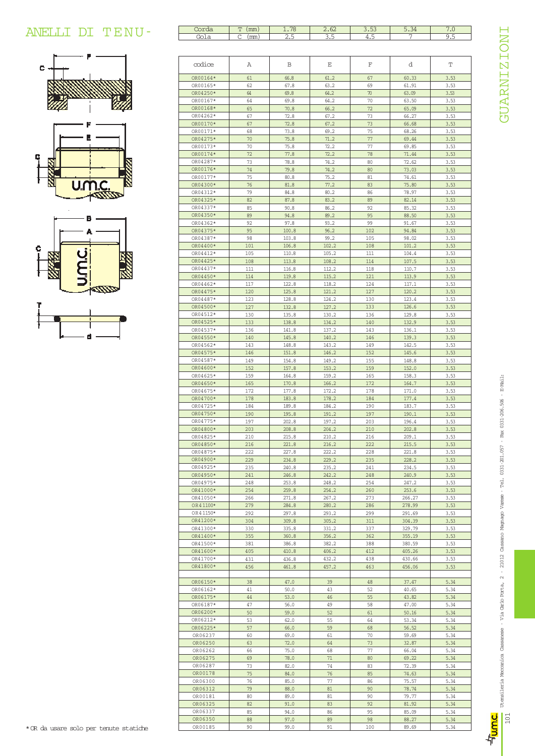## ANELLI DI TENU-





| Gola                 | $C$ ( $mm$ ) | 2.5            | 3.5            | 4.5        | 7                | 9.5          |
|----------------------|--------------|----------------|----------------|------------|------------------|--------------|
|                      |              |                |                |            |                  |              |
| codice               | Α            | В              | Ε              | F          | d                | Т            |
| OR00164*             | 61           | 66.8           | 61.2           | 67         | 60.33            | 3.53         |
| OR00165*             | 62           | 67.8           | 63.2           | 69         | 61.91            | 3.53         |
| OR04250*             | 64           | 69.8           | 64.2           | 70         | 63.09            | 3.53         |
| OR00167*<br>OR00168* | 64<br>65     | 69.8<br>70.8   | 64.2<br>66.2   | 70<br>72   | 63.50<br>65.09   | 3.53<br>3.53 |
| OR04262*             | 67           | 72.8           | 67.2           | 73         | 66.27            | 3.53         |
| OR00170*             | 67           | 72.8           | 67.2           | 73         | 66.68            | 3.53         |
| OR00171*             | 68           | 73.8           | 69.2           | 75         | 68.26            | 3.53         |
| OR04275*             | 70           | 75.8           | 71.2           | 77         | 69.44            | 3.53         |
| OR00173*<br>OR00174* | 70<br>72     | 75.8<br>77.8   | 72.2<br>72.2   | 77<br>78   | 69.85<br>71.44   | 3.53<br>3.53 |
| OR04287*             | 73           | 78.8           | 74.2           | 80         | 72.62            | 3.53         |
| OR00176*             | 74           | 79.8           | 74.2           | 80         | 73.03            | 3.53         |
| OR00177*             | 75           | 80.8           | 75.2           | 81         | 74.61            | 3.53         |
| OR04300*             | 76           | 81.8           | 77.2           | 83         | 75.80            | 3.53         |
| OR04312*             | 79           | 84.8           | 80.2           | 86         | 78.97            | 3.53         |
| OR04325*<br>OR04337* | 82<br>85     | 87.8<br>90.8   | 83.2<br>86.2   | 89<br>92   | 82.14            | 3.53         |
| OR04350*             | 89           | 94.8           | 89.2           | 95         | 85.32<br>88.50   | 3.53<br>3.53 |
| OR04362*             | 92           | 97.8           | 93.2           | 99         | 91.67            | 3.53         |
| OR04375*             | 95           | 100.8          | 96.2           | 102        | 94.84            | 3.53         |
| OR04387*             | 98           | 103.8          | 99.2           | 105        | 98.02            | 3.53         |
| OR04400*             | 101          | 106.8          | 102.2          | 108        | 101.2            | 3.53         |
| OR04412*             | 105          | 110.8          | 105.2          | 111        | 104.4            | 3.53         |
| OR04425*<br>OR04437* | 108<br>111   | 113.8<br>116.8 | 108.2<br>112.2 | 114<br>118 | 107.5<br>110.7   | 3.53<br>3.53 |
| OR04450*             | 114          | 119.8          | 115.2          | 121        | 113.9            | 3.53         |
| OR04462*             | 117          | 122.8          | 118.2          | 124        | 117.1            | 3.53         |
| OR04475*             | 120          | 125.8          | 121.2          | 127        | 120.2            | 3.53         |
| OR04487*             | 123          | 128.8          | 124.2          | 130        | 123.4            | 3.53         |
| OR04500*             | 127          | 132.8          | 127.2          | 133        | 126.6            | 3.53         |
| OR04512*             | 130          | 135.8          | 130.2          | 136        | 129.8            | 3.53         |
| OR04525*<br>OR04537* | 133<br>136   | 138.8<br>141.8 | 134.2<br>137.2 | 140<br>143 | 132.9<br>136.1   | 3.53<br>3.53 |
| OR04550*             | 140          | 145.8          | 140.2          | 146        | 139.3            | 3.53         |
| OR04562*             | 143          | 148.8          | 143.2          | 149        | 142.5            | 3.53         |
| OR04575*             | 146          | 151.8          | 146.2          | 152        | 145.6            | 3.53         |
| OR04587*             | 149          | 154.8          | 149.2          | 155        | 148.8            | 3.53         |
| OR04600*             | 152          | 157.8          | 153.2          | 159        | 152.0            | 3.53         |
| OR04625*             | 159          | 164.8          | 159.2          | 165        | 158.3            | 3.53         |
| OR04650*<br>OR04675* | 165<br>172   | 170.8<br>177.8 | 166.2<br>172.2 | 172<br>178 | 164.7<br>171.0   | 3.53<br>3.53 |
| OR04700*             | 178          | 183.8          | 178.2          | 184        | 177.4            | 3.53         |
| OR04725*             | 184          | 189.8          | 184.2          | 190        | 183.7            | 3.53         |
| OR04750*             | 190          | 195.8          | 191.2          | 197        | 190.1            | 3.53         |
| OR04775*             | 197          | 202.8          | 197.2          | 203        | 196.4            | 3.53         |
| OR04800*             | 203          | 208.8          | 204.2          | 210        | 202.8            | 3.53         |
| OR04825*             | 210          | 215.8          | 210.2          | 216        | 209.1            | 3.53         |
| OR04850*<br>OR04875* | 216<br>222   | 221.8<br>227.8 | 216.2<br>222.2 | 222<br>228 | 215.5<br>221.8   | 3.53<br>3.53 |
| OR04900*             | 229          | 234.8          | 229.2          | 235        | 228.2            | 3.53         |
| OR04925*             | 235          | 240.8          | 235.2          | 241        | 234.5            | 3.53         |
| OR04950*             | 241          | 246.8          | 242.2          | 248        | 240.9            | 3.53         |
| OR04975*             | 248          | 253.8          | 248.2          | 254        | 247.2            | 3.53         |
| OR41000*             | 254          | 259.8          | 254.2          | 260        | 253.6            | 3.53         |
| OR41050*<br>OR41100* | 266          | 271.8          | 267.2          | 273        | 266.27           | 3.53         |
| OR41150*             | 279<br>292   | 284.8<br>297.8 | 280.2<br>293.2 | 286<br>299 | 278.99<br>291.69 | 3.53<br>3.53 |
| OR41200*             | 304          | 309.8          | 305.2          | 311        | 304.39           | 3.53         |
| OR41300*             | 330          | 335.8          | 331.2          | 337        | 329.79           | 3.53         |
| OR41400*             | 355          | 360.8          | 356.2          | 362        | 355.19           | 3.53         |
| OR41500*             | 381          | 386.8          | 382.2          | 388        | 380.59           | 3.53         |
| OR41600*             | 405          | 410.8          | 406.2          | 412        | 405.26           | 3.53         |
| OR41700*             | 431          | 436.8          | 432.2          | 438        | 430.66           | 3.53         |
| OR41800*             | 456          | 461.8          | 457.2          | 463        | 456.06           | 3.53         |
| OR06150*             | 38           | 47.0           | 39             | 48         | 37.47            | 5.34         |
| OR06162*             | 41           | 50.0           | 43             | 52         | 40.65            | 5.34         |
| OR06175*             | 44           | 53.0           | 46             | 55         | 43.82            | 5.34         |
| OR06187*             | 47           | 56.0           | 49             | 58         | 47.00            | 5.34         |
| OR06200*             | 50           | 59.0           | 52             | 61         | 50.16            | 5.34         |
| OR06212*             | 53           | 62.0           | 55             | 64         | 53.34            | 5.34         |
| OR06225*             | 57           | 66.0           | 59<br>61       | 68         | 56.52            | 5.34<br>5.34 |
| OR06237<br>OR06250   | 60<br>63     | 69.0<br>72.0   | 64             | 70<br>73   | 59.69<br>32.87   | 5.34         |
| OR06262              | 66           | 75.0           | 68             | 77         | 66.04            | 5.34         |
| OR06275              | 69           | 78.0           | 71             | 80         | 69.22            | 5.34         |
| OR06287              | 73           | 82.0           | 74             | 83         | 72.39            | 5.34         |
| OR00178              | 75           | 84.0           | 76             | 85         | 74.63            | 5.34         |
| OR06300              | 76           | 85.0           | 77             | 86         | 75.57            | 5.34         |
| OR06312              | 79           | 88.0           | 81             | 90         | 78.74            | 5.34         |
| OR00181              | 80           | 89.0           | 81             | 90         | 79.77            | 5.34         |
| OR06325<br>OR06337   | 82<br>85     | 91.0<br>94.0   | 83<br>86       | 92<br>95   | 81.92<br>85.09   | 5.34<br>5.34 |
| OR06350              | 88           | 97.0           | 89             | 98         | 88.27            | 5.34         |
| OR00185              | 90           | 99.0           | 91             | 100        | 89.69            | 5.34         |
|                      |              |                |                |            |                  |              |

Corda T (mm) 1.78 2.62 3.53 5.34 7.0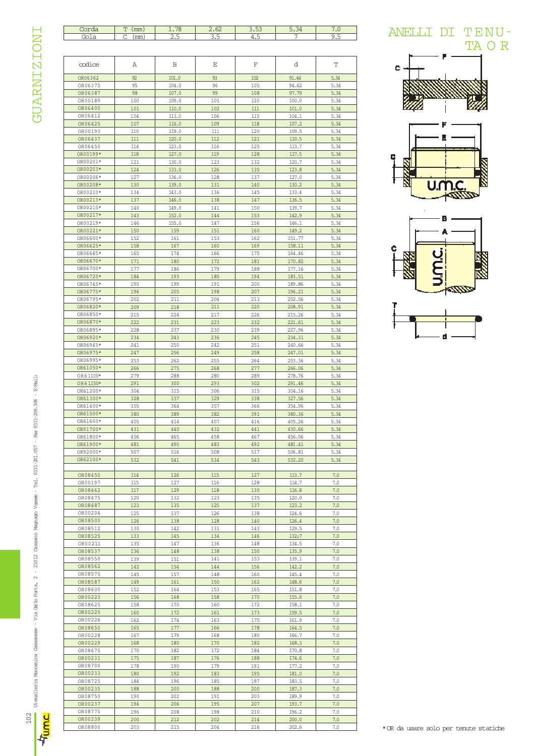## **GUARNIZIONI**

| Corda<br>Gola        | $T$ (mm)<br>$C$ (mm) | 1.78<br><u>2.5</u> | 2.62<br><u>3.5</u> | 3.53<br>4.5 | 5.34<br>7      | 7.0<br>9.5 |
|----------------------|----------------------|--------------------|--------------------|-------------|----------------|------------|
|                      |                      |                    |                    |             |                |            |
| codice               | Α                    | В                  | Ε                  | F           | d              | Т          |
| OR06362              | 92                   | 101.0              | 93                 | 102         | 91.44          | 5.34       |
| OR06375              | 95                   | 104.0              | 96                 | 105         | 94.62          | 5.34       |
| OR06387              | 98                   | 107.0              | 99                 | 108         | 97.79          | 5.34       |
| OR00189              | 100                  | 109.0              | 101                | 110         | 100.0          | 5.34       |
| OR06400              | 101                  | 110.0              | 102                | 111         | 101.0          | 5.34       |
| OR06412              | 104                  | 113.0              | 106                | 115         | 104.1          | 5.34       |
| OR06425              | 107                  | 116.0              | 109                | 118         | 107.2          | 5.34       |
| OR00193              | 110                  | 119.0              | 111                | 120         | 109.5          | 5.34       |
| OR06437              | 111                  | 120.0              | 112                | 121         | 110.5          | 5.34       |
| OR06450              | 114                  | 123.0              | 116                | 125         | 113.7          | 5.34       |
| OR00199*             | 118                  | 127.0              | 119                | 128         | 117.5          | 5.34       |
| OR00201*             | 121                  | 130.0              | 123                | 132         | 120.7          | 5.34       |
| OR00203*             | 124                  | 133.0              | 126                | 135         | 123.8          | 5.34       |
| OR00206*             | 127                  | 136.0              | 128                | 137         | 127.0          | 5.34       |
| OR00208*             | 130                  | 139.0              | 131                | 140         | 130.2          | 5.34       |
| OR00210*             | 134                  | 143.0              | 136                | 145         | 133.4          | 5.34       |
| OR00213*             | 137                  | 146.0              | 138                | 147         | 136.5          | 5.34       |
| OR00215*             | 140                  | 149.0              | 141                | 150         | 139.7          | 5.34       |
| OR00217*             | 143                  | 152.0              | 144                | 153         | 142.9          | 5.34       |
| OR00219*             | 146                  | 155.0              | 147                | 156         | 146.1          | 5.34       |
| OR00221*             | 150                  | 159                | 151                | 160         | 149.2          | 5.34       |
| OR06600*             | 152                  | 161                | 153                | 162         | 151.77         | 5.34       |
| OR06625*             | 158                  | 167                | 160                | 169         | 158.11         | 5.34       |
| OR06645*             | 165                  | 174                | 166                | 175         | 164.46         | 5.34       |
| OR06670*             | 171                  | 180                | 172                | 181         | 170.82         | 5.34       |
| OR06700*             | 177                  | 186                | 179                | 188         | 177.16         | 5.34       |
| OR06720*             | 184                  | 193                | 185                | 194         | 183.51         | 5.34       |
| OR06745*             | 190                  | 199                | 191                | 200         | 189.86         | 5.34       |
| OR06775*             | 196                  | 205                | 198                | 207         | 196.21         | 5.34       |
|                      |                      |                    |                    |             |                |            |
| OR06795*<br>OR06820* | 202                  | 211                | 204                | 213         | 202.56         | 5.34       |
|                      | 209                  | 218                | 211                | 220         | 208.91         | 5.34       |
| OR06850*             | 215                  | 224                | 217                | 226         | 215.26         | 5.34       |
| OR06870*             | 222                  | 231                | 223                | 232         | 221.61         | 5.34       |
| OR06895*             | 228                  | 237                | 230                | 239         | 227.96         | 5.34       |
| OR06920*             | 234                  | 243                | 236                | 245         | 234.31         | 5.34       |
| OR06945*             | 241                  | 250                | 242                | 251         | 240.66         | 5.34       |
| OR06975*             | 247                  | 256                | 249                | 258         | 247.01         | 5.34       |
| OR06995*             | 253                  | 262                | 255                | 264         | 253.36         | 5.34       |
| OR61050*             | 266                  | 275                | 268                | 277         | 266.06         | 5.34       |
| OR61100*             | 279                  | 288                | 280                | 289         | 278.76         | 5.34       |
| OR61150*             | 291                  | 300                | 293                | 302         | 291.46         | 5.34       |
| OR61200*             | 304                  | 315                | 306                | 315         | 304.16         | 5.34       |
| OR61300*             | 328                  | 337                | 329                | 338         | 327.56         | 5.34       |
| OR61400*             | 355                  | 364                | 357                | 366         | 354.96         | 5.34       |
| OR61500*             | 380                  | 389                | 382                | 391         | 380.36         | 5.34       |
| OR61600*             | 405                  | 414                | 407                | 416         | 405.26         | 5.34       |
| OR91700*             | 431                  | 440                | 432                | 441         | 430.66         | 5.34       |
| OR61800*             | 456                  | 465                | 458                | 467         | 456.06         | 5.34       |
| OR61900*             | 481                  | 490                | 483                | 492         | 481.41         | 5.34       |
| OR92000*             | 507                  | 516                | 508                | 517         | 506.81         | 5.34       |
| OR62100*             | 532                  | 541                | 534                | 543         | 532.20         | 5.34       |
|                      |                      |                    |                    |             |                |            |
| OR08450              | 114                  | 126                | 115                | 127         | 113.7          | 7.0        |
| OR00197              | 115                  | 127                | 116                | 128         | 114.7          | 7.0        |
| OR08462              | 117                  | 129                | 118                | 130         | 116.8          | 7.0        |
| OR08475              | 120                  | 132                | 123                | 135         | 120.0          | 7.0        |
| OR08487              | 123                  | 135                | 125                | 137         | 123.2          | 7.0        |
| OR00204              | 125                  | 137                | 126                | 138         | 124.6          | 7.0        |
| OR08500              | 126                  | 138                | 128                | 140         | 126.4          | 7.0        |
| OR08512              | 130                  | 142                | 131                | 143         | 129.5          | 7.0        |
| OR08525              | 133                  | 145                | 134                | 146         | 132;7          | 7.0        |
| OR00211              | 135                  | 147                | 136                | 148         | 134.5          | 7.0        |
| OR08537              | 136                  | 148                | 138                | 150         | 135.9          | 7.0        |
| OR08550              | 139                  | 151                | 141                | 153         | 139.1          | 7.0        |
| OR08562              | 142                  | 154                | 144                | 156         | 142.2          | 7.0        |
| OR08575              | 145                  | 157                | 148                | 160         | 145.4          | 7.0        |
| OR08587              | 149                  | 161                | 150                | 162         | 148.6          | 7.0        |
| OR08600              | 152                  | 164                | 153                | 165         | 151.8          | 7.0        |
| OR00223              |                      |                    |                    |             |                |            |
| OR08625              | 156<br>158           | 168<br>170         | 158<br>160         | 170<br>172  | 155.6<br>158.1 | 7.0<br>7.0 |
|                      |                      |                    |                    |             |                |            |
| OR00225              | 160                  | 172                | 161                | 173         | 159.5          | 7.0        |
| OR00226              | 162                  | 174                | 163                | 175         | 161.9          | 7.0        |
| OR08650              | 165                  | 177                | 166                | 178         | 164.5          | 7.0        |
| OR00228              | 167                  | 179                | 168                | 180         | 166.7          | 7.0        |
| OR00229              | 168                  | 180                | 170                | 182         | 168.3          | $7.0\,$    |
| OR08675              | 170                  | 182                | 172                | 184         | 170.8          | 7.0        |
| OR00231              | 175                  | 187                | 176                | 188         | 174.6          | 7.0        |
| OR08700              | 178                  | 190                | 179                | 191         | 177.2          | 7.0        |
| OR00233              | 180                  | 192                | 183                | 195         | 181.0          | 7.0        |
| OR08725              | 184                  | 196                | 185                | 197         | 183.5          | 7.0        |
| OR00235              | 188                  | 200                | 188                | 200         | 187.3          | 7.0        |
| OR08750              | 190                  | 202                | 191                | 203         | 189.9          | 7.0        |
| OR00237              | 194                  | 206                | 195                | 207         | 193.7          | 7.0        |
| OR08775              | 196                  | 208                | 198                | 210         | 196.2          | 7.0        |
|                      |                      |                    |                    |             |                |            |
| OR00239              | 200                  | 212                | 202                | 214         | 200.0          | 7.0        |









\* OR da usare solo per tenute statiche

卓